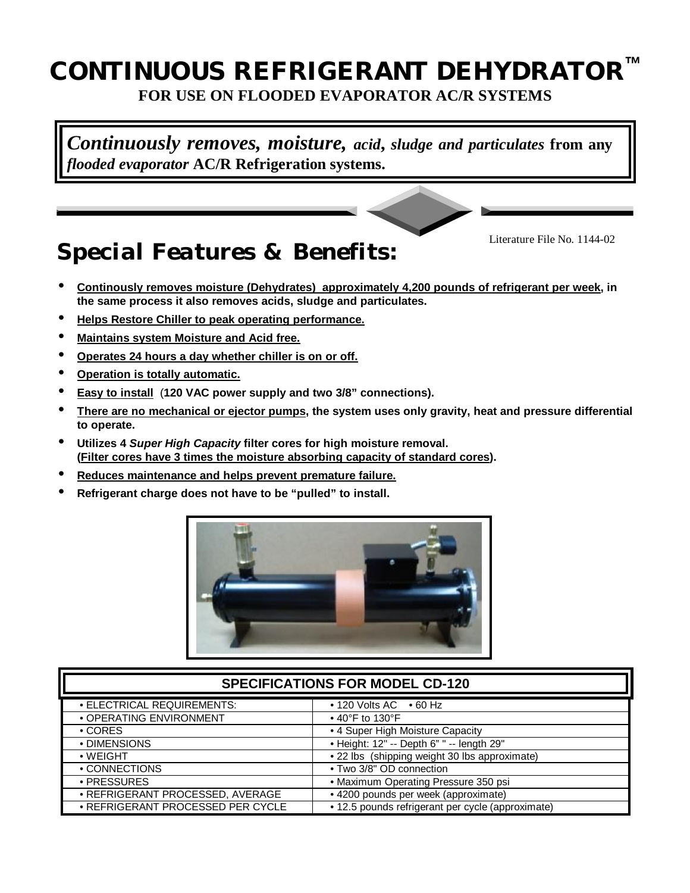## **CONTINUOUS** REFRIGERANT DEHYDRATOR **FOR USE ON FLOODED EVAPORATOR AC/R SYSTEMS**

*Continuously removes, moisture, acid***,** *sludge and particulates* **from any** *flooded evaporator* **AC/R Refrigeration systems.**

# *Special Features & Benefits:*

Literature File No. 1144-02

- **Continously removes moisture (Dehydrates) approximately 4,200 pounds of refrigerant per week, in the same process it also removes acids, sludge and particulates.**
- **Helps Restore Chiller to peak operating performance.**
- **Maintains system Moisture and Acid free.**
- **Operates 24 hours a day whether chiller is on or off.**
- **Operation is totally automatic.**
- **Easy to install** (**120 VAC power supply and two 3/8" connections).**
- **There are no mechanical or ejector pumps, the system uses only gravity, heat and pressure differential to operate.**
- **Utilizes 4** *Super High Capacity* **filter cores for high moisture removal. (Filter cores have 3 times the moisture absorbing capacity of standard cores).**
- **Reduces maintenance and helps prevent premature failure.**
- **Refrigerant charge does not have to be "pulled" to install.**



| <b>SPECIFICATIONS FOR MODEL CD-120</b> |                                                   |
|----------------------------------------|---------------------------------------------------|
| • ELECTRICAL REQUIREMENTS:             | $\cdot$ 120 Volts AC $\cdot$ 60 Hz                |
| • OPERATING ENVIRONMENT                | $\bullet$ 40°F to 130°F                           |
| $\cdot$ CORES                          | • 4 Super High Moisture Capacity                  |
| • DIMENSIONS                           | • Height: 12" -- Depth 6" " -- length 29"         |
| $\bullet$ WEIGHT                       | • 22 lbs (shipping weight 30 lbs approximate)     |
| • CONNECTIONS                          | • Two 3/8" OD connection                          |
| • PRESSURES                            | • Maximum Operating Pressure 350 psi              |
| · REFRIGERANT PROCESSED, AVERAGE       | • 4200 pounds per week (approximate)              |
| • REFRIGERANT PROCESSED PER CYCLE      | • 12.5 pounds refrigerant per cycle (approximate) |